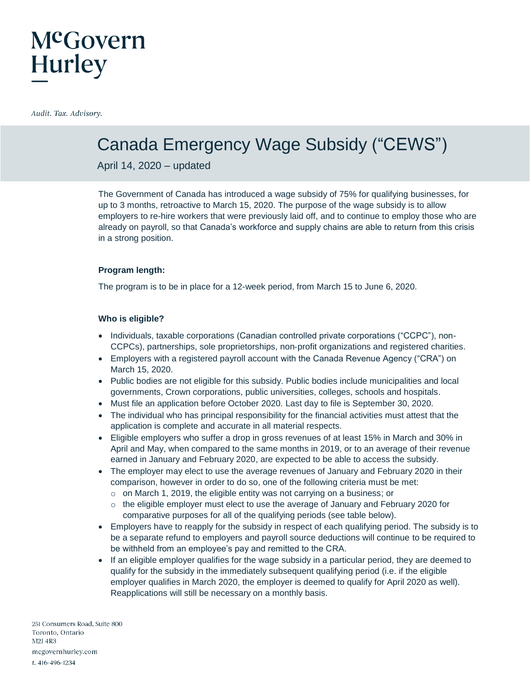### Canada Emergency Wage Subsidy ("CEWS")

April 14, 2020 – updated

The Government of Canada has introduced a wage subsidy of 75% for qualifying businesses, for up to 3 months, retroactive to March 15, 2020. The purpose of the wage subsidy is to allow employers to re-hire workers that were previously laid off, and to continue to employ those who are already on payroll, so that Canada's workforce and supply chains are able to return from this crisis in a strong position.

### **Program length:**

The program is to be in place for a 12-week period, from March 15 to June 6, 2020.

### **Who is eligible?**

- Individuals, taxable corporations (Canadian controlled private corporations ("CCPC"), non-CCPCs), partnerships, sole proprietorships, non‑profit organizations and registered charities.
- Employers with a registered payroll account with the Canada Revenue Agency ("CRA") on March 15, 2020.
- Public bodies are not eligible for this subsidy. Public bodies include municipalities and local governments, Crown corporations, public universities, colleges, schools and hospitals.
- Must file an application before October 2020. Last day to file is September 30, 2020.
- The individual who has principal responsibility for the financial activities must attest that the application is complete and accurate in all material respects.
- Eligible employers who suffer a drop in gross revenues of at least 15% in March and 30% in April and May, when compared to the same months in 2019, or to an average of their revenue earned in January and February 2020, are expected to be able to access the subsidy.
- The employer may elect to use the average revenues of January and February 2020 in their comparison, however in order to do so, one of the following criteria must be met:
	- o on March 1, 2019, the eligible entity was not carrying on a business; or
	- $\circ$  the eligible employer must elect to use the average of January and February 2020 for comparative purposes for all of the qualifying periods (see table below).
- Employers have to reapply for the subsidy in respect of each qualifying period. The subsidy is to be a separate refund to employers and payroll source deductions will continue to be required to be withheld from an employee's pay and remitted to the CRA.
- If an eligible employer qualifies for the wage subsidy in a particular period, they are deemed to qualify for the subsidy in the immediately subsequent qualifying period (i.e. if the eligible employer qualifies in March 2020, the employer is deemed to qualify for April 2020 as well). Reapplications will still be necessary on a monthly basis.

251 Consumers Road, Suite 800 Toronto, Ontario M2J 4R3 mcgovernhurley.com t. 416-496-1234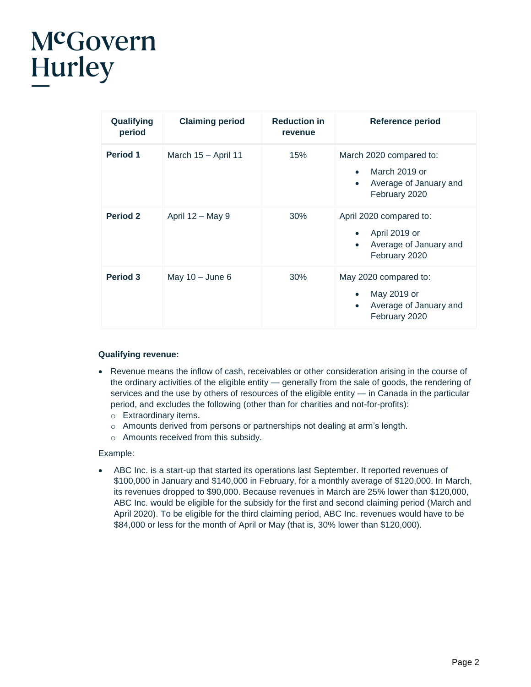| Qualifying<br>period | <b>Claiming period</b> | <b>Reduction in</b><br>revenue | Reference period                                                                                              |
|----------------------|------------------------|--------------------------------|---------------------------------------------------------------------------------------------------------------|
| <b>Period 1</b>      | March 15 - April 11    | 15%                            | March 2020 compared to:<br>March 2019 or<br>$\bullet$<br>Average of January and<br>$\bullet$<br>February 2020 |
| <b>Period 2</b>      | April $12 - May 9$     | 30%                            | April 2020 compared to:<br>April 2019 or<br>Average of January and<br>$\bullet$<br>February 2020              |
| <b>Period 3</b>      | May $10 -$ June 6      | $30\%$                         | May 2020 compared to:<br>May 2019 or<br>$\bullet$<br>Average of January and<br>$\bullet$<br>February 2020     |

### **Qualifying revenue:**

- Revenue means the inflow of cash, receivables or other consideration arising in the course of the ordinary activities of the eligible entity — generally from the sale of goods, the rendering of services and the use by others of resources of the eligible entity — in Canada in the particular period, and excludes the following (other than for charities and not-for-profits):
	- o Extraordinary items.
	- o Amounts derived from persons or partnerships not dealing at arm's length.
	- o Amounts received from this subsidy.

#### Example:

 ABC Inc. is a start-up that started its operations last September. It reported revenues of \$100,000 in January and \$140,000 in February, for a monthly average of \$120,000. In March, its revenues dropped to \$90,000. Because revenues in March are 25% lower than \$120,000, ABC Inc. would be eligible for the subsidy for the first and second claiming period (March and April 2020). To be eligible for the third claiming period, ABC Inc. revenues would have to be \$84,000 or less for the month of April or May (that is, 30% lower than \$120,000).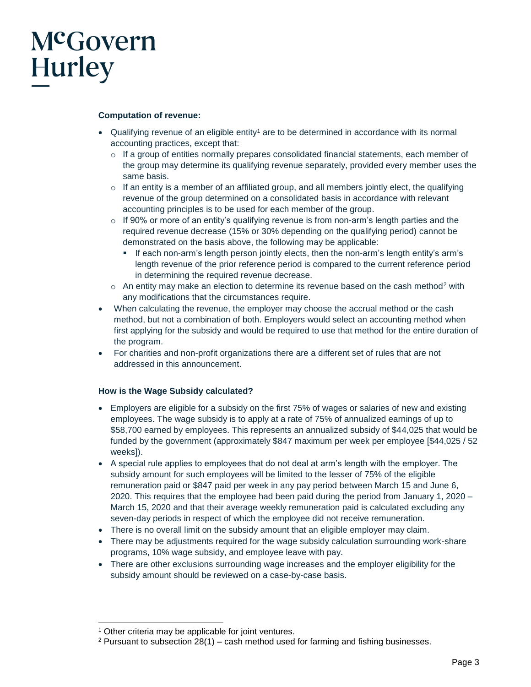### **Computation of revenue:**

- Qualifying revenue of an eligible entity<sup>1</sup> are to be determined in accordance with its normal accounting practices, except that:
	- $\circ$  If a group of entities normally prepares consolidated financial statements, each member of the group may determine its qualifying revenue separately, provided every member uses the same basis.
	- $\circ$  If an entity is a member of an affiliated group, and all members jointly elect, the qualifying revenue of the group determined on a consolidated basis in accordance with relevant accounting principles is to be used for each member of the group.
	- $\circ$  If 90% or more of an entity's qualifying revenue is from non-arm's length parties and the required revenue decrease (15% or 30% depending on the qualifying period) cannot be demonstrated on the basis above, the following may be applicable:
		- If each non-arm's length person jointly elects, then the non-arm's length entity's arm's length revenue of the prior reference period is compared to the current reference period in determining the required revenue decrease.
	- $\circ$  An entity may make an election to determine its revenue based on the cash method<sup>2</sup> with any modifications that the circumstances require.
- When calculating the revenue, the employer may choose the accrual method or the cash method, but not a combination of both. Employers would select an accounting method when first applying for the subsidy and would be required to use that method for the entire duration of the program.
- For charities and non-profit organizations there are a different set of rules that are not addressed in this announcement.

#### **How is the Wage Subsidy calculated?**

- Employers are eligible for a subsidy on the first 75% of wages or salaries of new and existing employees. The wage subsidy is to apply at a rate of 75% of annualized earnings of up to \$58,700 earned by employees. This represents an annualized subsidy of \$44,025 that would be funded by the government (approximately \$847 maximum per week per employee [\$44,025 / 52 weeks]).
- A special rule applies to employees that do not deal at arm's length with the employer. The subsidy amount for such employees will be limited to the lesser of 75% of the eligible remuneration paid or \$847 paid per week in any pay period between March 15 and June 6, 2020. This requires that the employee had been paid during the period from January 1, 2020 – March 15, 2020 and that their average weekly remuneration paid is calculated excluding any seven-day periods in respect of which the employee did not receive remuneration.
- There is no overall limit on the subsidy amount that an eligible employer may claim.
- There may be adjustments required for the wage subsidy calculation surrounding work-share programs, 10% wage subsidy, and employee leave with pay.
- There are other exclusions surrounding wage increases and the employer eligibility for the subsidy amount should be reviewed on a case-by-case basis.

 $\overline{a}$ 

<sup>&</sup>lt;sup>1</sup> Other criteria may be applicable for joint ventures.

<sup>&</sup>lt;sup>2</sup> Pursuant to subsection  $28(1)$  – cash method used for farming and fishing businesses.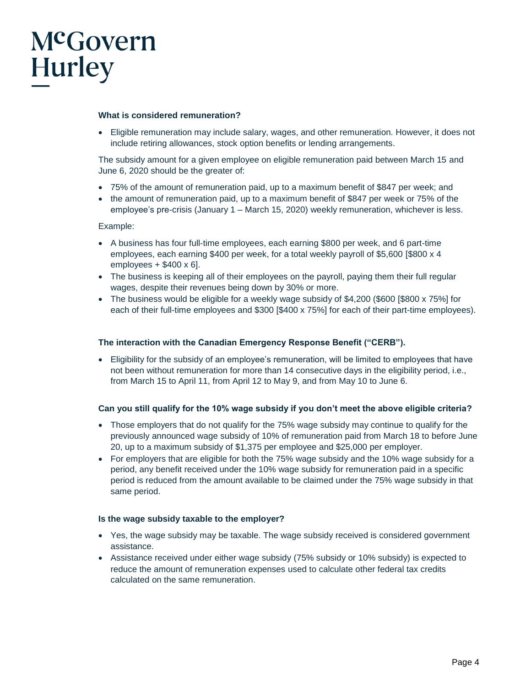### **What is considered remuneration?**

 Eligible remuneration may include salary, wages, and other remuneration. However, it does not include retiring allowances, stock option benefits or lending arrangements.

The subsidy amount for a given employee on eligible remuneration paid between March 15 and June 6, 2020 should be the greater of:

- 75% of the amount of remuneration paid, up to a maximum benefit of \$847 per week; and
- the amount of remuneration paid, up to a maximum benefit of \$847 per week or 75% of the employee's pre-crisis (January 1 – March 15, 2020) weekly remuneration, whichever is less.

Example:

- A business has four full-time employees, each earning \$800 per week, and 6 part-time employees, each earning \$400 per week, for a total weekly payroll of \$5,600 [\$800 x 4 employees  $+$  \$400 x 6].
- The business is keeping all of their employees on the payroll, paying them their full regular wages, despite their revenues being down by 30% or more.
- The business would be eligible for a weekly wage subsidy of \$4,200 (\$600 [\$800 x 75%] for each of their full-time employees and \$300 [\$400 x 75%] for each of their part-time employees).

### **The interaction with the Canadian Emergency Response Benefit ("CERB").**

 Eligibility for the subsidy of an employee's remuneration, will be limited to employees that have not been without remuneration for more than 14 consecutive days in the eligibility period, i.e., from March 15 to April 11, from April 12 to May 9, and from May 10 to June 6.

#### **Can you still qualify for the 10% wage subsidy if you don't meet the above eligible criteria?**

- Those employers that do not qualify for the 75% wage subsidy may continue to qualify for the previously announced wage subsidy of 10% of remuneration paid from March 18 to before June 20, up to a maximum subsidy of \$1,375 per employee and \$25,000 per employer.
- For employers that are eligible for both the 75% wage subsidy and the 10% wage subsidy for a period, any benefit received under the 10% wage subsidy for remuneration paid in a specific period is reduced from the amount available to be claimed under the 75% wage subsidy in that same period.

#### **Is the wage subsidy taxable to the employer?**

- Yes, the wage subsidy may be taxable. The wage subsidy received is considered government assistance.
- Assistance received under either wage subsidy (75% subsidy or 10% subsidy) is expected to reduce the amount of remuneration expenses used to calculate other federal tax credits calculated on the same remuneration.